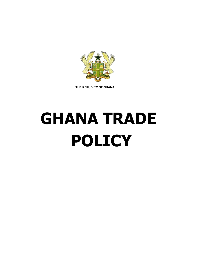

**THE REPUBLIC OF GHANA**

# **GHANA TRADE POLICY**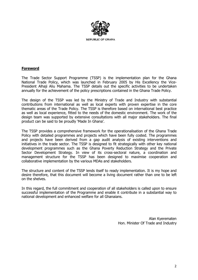

## **Foreword**

The Trade Sector Support Programme (TSSP) is the implementation plan for the Ghana National Trade Policy, which was launched in February 2005 by His Excellency the Vice-President Alhaji Aliu Mahama. The TSSP details out the specific activities to be undertaken annually for the achievement of the policy prescriptions contained in the Ghana Trade Policy.

The design of the TSSP was led by the Ministry of Trade and Industry with substantial contributions from international as well as local experts with proven expertise in the core thematic areas of the Trade Policy. The TSSP is therefore based on international best practice as well as local experience, fitted to the needs of the domestic environment. The work of the design team was supported by extensive consultations with all major stakeholders. The final product can be said to be proudly 'Made In Ghana'.

The TSSP provides a comprehensive framework for the operationalisation of the Ghana Trade Policy with detailed programmes and projects which have been fully costed. The programmes and projects have been derived from a gap audit analysis of existing interventions and initiatives in the trade sector. The TSSP is designed to fit strategically with other key national development programmes such as the Ghana Poverty Reduction Strategy and the Private Sector Development Strategy. In view of its cross-sectoral nature, a coordination and management structure for the TSSP has been designed to maximise cooperation and collaborative implementation by the various MDAs and stakeholders.

The structure and content of the TSSP lends itself to ready implementation. It is my hope and desire therefore, that this document will become a living document rather than one to be left on the shelves.

In this regard, the full commitment and cooperation of all stakeholders is called upon to ensure successful implementation of the Programme and enable it contribute in a substantial way to national development and enhanced welfare for all Ghanaians.

> Alan Kyerematen Hon. Minister Of Trade and Industry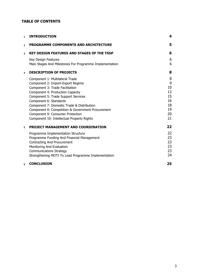# **TABLE OF CONTENTS**

| $\mathbf{1}$   | <b>INTRODUCTION</b>                                                                                                                                                                                                                                                                                                                                                                               | 4                                                      |
|----------------|---------------------------------------------------------------------------------------------------------------------------------------------------------------------------------------------------------------------------------------------------------------------------------------------------------------------------------------------------------------------------------------------------|--------------------------------------------------------|
| $\overline{a}$ | <b>PROGRAMME COMPONENTS AND ARCHITECTURE</b>                                                                                                                                                                                                                                                                                                                                                      | 5                                                      |
| 3              | <b>KEY DESIGN FEATURES AND STAGES OF THE TSSP</b>                                                                                                                                                                                                                                                                                                                                                 | 6                                                      |
|                | Key Design Features<br>Main Stages And Milestones For Programme Implementation                                                                                                                                                                                                                                                                                                                    | 6<br>6                                                 |
| 4              | <b>DESCRIPTION OF PROJECTS</b>                                                                                                                                                                                                                                                                                                                                                                    | 8                                                      |
|                | Component 1: Multilateral Trade<br>Component 2: Import-Export Regime<br>Component 3: Trade Facilitation<br>Component 4: Production Capacity<br>Component 5: Trade Support Services<br>Component 6: Standards<br>Component 7: Domestic Trade & Distribution<br>Component 8: Competition & Government Procurement<br>Component 9: Consumer Protection<br>Component 10: Intellectual Property Rights | 8<br>9<br>10<br>12<br>15<br>16<br>18<br>19<br>20<br>21 |
| 5              | PROJECT MANAGEMENT AND COORDINATION                                                                                                                                                                                                                                                                                                                                                               | 22                                                     |
|                | Programme Implementation Structure<br>Programme Funding And Financial Management<br>Contracting And Procurement<br>Monitoring And Evaluation<br><b>Communications Strategy</b><br>Strengthening MOTI To Lead Programme Implementation                                                                                                                                                             | 22<br>23<br>23<br>23<br>23<br>24                       |
| 6              | <b>CONCLUSION</b>                                                                                                                                                                                                                                                                                                                                                                                 | 25                                                     |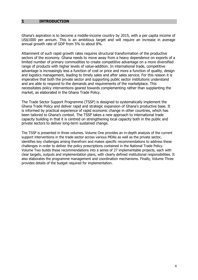## <span id="page-3-0"></span>**1 INTRODUCTION**

Ghana's aspiration is to become a middle-income country by 2015, with a per capita income of US\$1000 per annum. This is an ambitious target and will require an increase in average annual growth rate of GDP from 5% to about 8%.

Attainment of such rapid growth rates requires structural transformation of the productive sectors of the economy. Ghana needs to move away from a heavy dependence on exports of a limited number of primary commodities to create competitive advantage on a more diversified range of products with higher levels of value-addition. In international trade, competitive advantage is increasingly less a function of cost or price and more a function of quality, design and logistics management, leading to timely sales and after sales service. For this reason it is imperative that both the private sector and supporting public sector institutions understand and are able to respond to the demands and requirements of the marketplace. This necessitates policy interventions geared towards complementing rather than supplanting the market, as elaborated in the Ghana Trade Policy.

The Trade Sector Support Programme (TSSP) is designed to systematically implement the Ghana Trade Policy and deliver rapid and strategic expansion of Ghana's productive base. It is informed by practical experience of rapid economic change in other countries, which has been tailored to Ghana's context. The TSSP takes a new approach to international trade capacity building in that it is centred on strengthening local capacity both in the public and private sectors to deliver long-term sustained change.

The TSSP is presented in three volumes. Volume One provides an in-depth analysis of the current support interventions in the trade sector across various MDAs as well as the private sector, identifies key challenges arising therefrom and makes specific recommendations to address these challenges in order to deliver the policy prescriptions contained in the National Trade Policy. Volume Two builds these recommendations into a series of 27 implementable projects, each with clear targets, outputs and implementation plans, with clearly defined institutional responsibilities. It also elaborates the programme management and coordination mechanisms. Finally, Volume Three provides details of the budget required for implementation.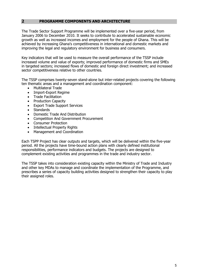## <span id="page-4-0"></span>**2 PROGRAMME COMPONENTS AND ARCHITECTURE**

The Trade Sector Support Programme will be implemented over a five-year period, from January 2006 to December 2010. It seeks to contribute to accelerated sustainable economic growth as well as increased incomes and employment for the people of Ghana. This will be achieved by increasing Ghana's competitiveness in international and domestic markets and improving the legal and regulatory environment for business and consumers.

Key indicators that will be used to measure the overall performance of the TSSP include increased volume and value of exports; improved performance of domestic firms and SMEs in targeted sectors; increased flows of domestic and foreign direct investment; and increased sector competitiveness relative to other countries.

The TSSP comprises twenty-seven stand-alone but inter-related projects covering the following ten thematic areas and a management and coordination component:

- Multilateral Trade
- Import-Export Regime
- Trade Facilitation
- Production Capacity
- Export Trade Support Services
- **Standards**
- Domestic Trade And Distribution
- Competition And Government Procurement
- Consumer Protection
- Intellectual Property Rights
- Management and Coordination

Each TSPP Project has clear outputs and targets, which will be delivered within the five-year period. All the projects have time-bound action plans with clearly defined institutional responsibilities, performance indicators and budgets. The projects are designed to complement existing activities and programmes in the trade and industry sector.

The TSSP takes into consideration existing capacity within the Ministry of Trade and Industry and other key MDAs to manage and coordinate the implementation of the Programme, and prescribes a series of capacity building activities designed to strengthen their capacity to play their assigned roles.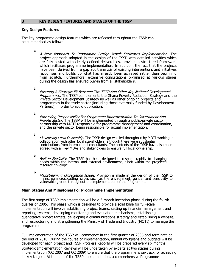## <span id="page-5-0"></span>**3 KEY DESIGN FEATURES AND STAGES OF THE TSSP**

## **Key Design Features**

The key programme design features which are reflected throughout the TSSP can be summarised as follows:

 $\blacktriangleright$ A New Approach To Programme Design Which Facilitates Implementation. The protect approach adopted in the design of the TSSP with detailed activities which are fully costed with clearly defined deliverables, provides a structured framework which facilitates programme implementation. In addition, the fact that the projects have been derived from a gap audit analysis of existing interventions and initiatives recognises and builds up what has already been achieved rather than beginning from scratch. Furthermore, extensive consultations organised at various stages during the design has ensured buy-in from all stakeholders.

 $\blacktriangleright$ Ensuring A Strategic Fit Between The TSSP And Other Key National Development Programmes. The TSSP complements the Ghana Poverty Reduction Strategy and the Private Sector Development Strategy as well as other ongoing projects and programmes in the trade sector (including those externally funded by Development Partners), in order to avoid duplication.

 $\blacktriangleright$ Entrusting Responsibility For Programme Implementation To Government And Private Sector. The TSSP will be implemented through a public-private sector partnership with MOTI responsible for programme management and coordination, and the private sector being responsible for actual implementation.

 $\blacktriangleright$ Maximising Local Ownership. The TSSP design was led throughout by MOTI working in collaboration with other local stakeholders, although there were substantial contributions from international consultants. The contents of the TSSP have also been agreed with all key MDAs and stakeholders to ensure full local ownership.

 $\triangleright$ Built-in Flexibility. The TSSP has been designed to respond rapidly to changing needs within the internal and external environment, albeit within the projected resource envelope.

➢ Mainstreaming Crosscutting Issues. Provision is made in the design of the TSSP to mainstream crosscutting issues such as the environment, gender and sensitivity to vulnerable groups throughout the implementation of the Programme.

## **Main Stages And Milestones For Programme Implementation**

The first stage of TSSP implementation will be a 3-month inception phase during the fourth quarter of 2005. This phase which is designed to provide a solid base for full-scale implementation will involve establishing project teams, setting up financial management and reporting systems, developing monitoring and evaluation mechanisms, establishing quantitative project targets, developing a communications strategy and establishing a website, and restructuring and strengthening the Ministry of Trade and Industry (MOTI) to manage the programme.

Full implementation of the TSSP will commence in the first quarter of 2006 and terminate at the end of 2010. During the course of implementation, annual workplans and budgets will be developed for each project and TSSP Progress Reports will be prepared every six months. Strategic Implementation Reviews will be undertaken by experts at two stages during implementation (Q2 2007 and Q2 2009) to ensure that the programme is on-track for achieving its key targets. At the end of the TSSP implementation, a comprehensive Programme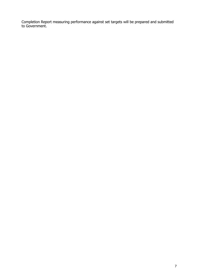Completion Report measuring performance against set targets will be prepared and submitted to Government.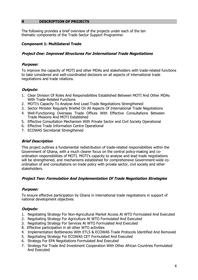## <span id="page-7-0"></span>**4 DESCRIPTION OF PROJECTS**

The following provides a brief overview of the projects under each of the ten thematic components of the Trade Sector Support Programme:

## **Component 1: Multilateral Trade**

## **Project One: Improved Structures For International Trade Negotiations**

## **Purpose:**

To improve the capacity of MOTI and other MDAs and stakeholders with trade-related functions to take considered and well-coordinated decisions on all aspects of international trade negotiations and trade relations.

# **Outputs:**

- 1. Clear Division Of Roles And Responsibilities Established Between MOTI And Other MDAs With Trade-Related Functions
- 2. MOTI's Capacity To Analyse And Lead Trade Negotiations Strengthened
- 3. Sector Minister Regularly Briefed On All Aspects Of International Trade Negotiations
- 4. Well-Functioning Overseas Trade Offices With Effective Consultations Between Trade Missions And MOTI Established
- 5. Effective Consultation Mechanism With Private Sector and Civil Society Operational
- 6. Effective Trade Information Centre Operational
- 7. ECOWAS Secretariat Strengthened

## **Brief Description**

This project outlines a fundamental redistribution of trade-related responsibilities within the Government of Ghana, with a much clearer focus on the central policy-making and coordination responsibilities of MOTI. MOTI's capacity to analyse and lead trade negotiations will be strengthened, and mechanisms established for comprehensive Government-wide coordination of and consultations on trade policy with private sector, civil society and other stakeholders.

## **Project Two: Formulation And Implementation Of Trade Negotiation Strategies**

## **Purpose:**

To ensure effective participation by Ghana in international trade negotiations in support of national development objectives

- 1. Negotiating Strategy For Non-Agricultural Market Access At WTO Formulated And Executed
- 2. Negotiating Strategy For Agriculture At WTO Formulated And Executed
- 3. Negotiating Strategy For Services At WTO Formulated And Executed
- 8. Effective participation in all other WTO activities
- 4. Implementation Bottlenecks With ETLS & ECOWAS Trade Protocols Identified And Removed
- 5. Negotiating Strategy For ECOWAS CET Formulated And Executed
- 6. Strategy For EPA Negotiations Formulated And Executed
- 7. Strategy For Trade And Investment Cooperation With Other African Countries Formulated And Executed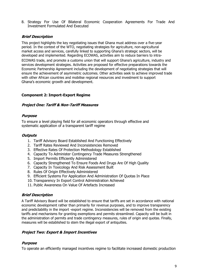<span id="page-8-0"></span>8. Strategy For Use Of Bilateral Economic Cooperation Agreements For Trade And Investment Formulated And Executed

## **Brief Description**

This project highlights the key negotiating issues that Ghana must address over a five-year period. In the context of the WTO, negotiating strategies for agriculture, non-agricultural market access and services, carefully linked to supporting Ghana's strategic sectors, will be developed and implemented. Regarding ECOWAS, activities aim to reduce barriers to intra-

ECOWAS trade, and promote a customs union that will support Ghana's agriculture, industry and services development strategies. Activities are proposed for effective preparations towards the Economic Partnership Agreement including the development of negotiating strategies that will ensure the achievement of asymmetric outcomes. Other activities seek to achieve improved trade with other African countries and mobilise regional resources and investment to support Ghana's economic growth and development.

## **Component 2: Import-Export Regime**

## **Project One: Tariff & Non-Tariff Measures**

## **Purpose**

To ensure a level playing field for all economic operators through effective and systematic application of a transparent tariff regime

## **Outputs**

- 1. Tariff Advisory Board Established And Functioning Effectively
- 2. Tariff Rates Reviewed And Inconsistencies Removed
- 3. Effective Rates Of Protection Methodology Established
- 4. Capacity To Administer Contingency Trade Measures Strengthened
- 5. Import Permits Efficiently Administered
- 6. Capacity Strengthened To Ensure Foods And Drugs Are Of High Quality
- 7. Capacity In Toxicology And Risk Assessment Built
- 8. Rules Of Origin Effectively Administered
- 9. Efficient Systems For Application And Administration Of Quotas In Place
- 10. Transparency In Export Control Administration Achieved
- 11. Public Awareness On Value Of Artefacts Increased

## **Brief Description**

A Tariff Advisory Board will be established to ensure that tariffs are set in accordance with national economic development rather than primarily for revenue purposes, and to improve transparency and predictability in the import -export regime. Inconsistencies will be removed from the existing tariffs and mechanisms for granting exemptions and permits streamlined. Capacity will be built in the administration of permits and trade contingency measures, rules of origin and quotas. Finally, measures will be established to stem the illegal export of antiquities.

## **Project Two: Export & Import Incentives**

## **Purpose**

To operate an efficiently managed incentives regime to facilitate increased domestic production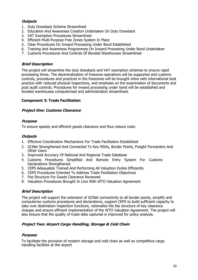# <span id="page-9-0"></span>**Outputs**

- 1. Duty Drawback Scheme Streamlined
- 2. Education And Awareness Creation Undertaken On Duty Drawback
- 3. VAT Exemption Procedures Streamlined
- 4. Efficient Multi-Purpose Free Zones System In Place
- 5. Clear Procedures On Inward Processing Under Bond Established
- 6. Training And Awareness Programmes On Inward Processing Under Bond Undertaken
- 7. Customs Procedures And Controls Of Bonded Warehouses Streamlined

# **Brief Description**

The project will streamline the duty drawback and VAT exemption schemes to ensure rapid processing times. The decentralization of freezone operations will be supported and customs controls, procedures and practices in the freezones will be brought inline with international best practice with reduced physical inspections, and emphasis on the examination of documents and post audit controls. Procedures for inward processing under bond will be established and bonded warehouses computerised and administration streamlined.

# **Component 3: Trade Facilitation**

# **Project One: Customs Clearance**

# **Purpose**

To ensure speedy and efficient goods clearance and thus reduce costs

# **Outputs**

- 1. Effective Coordination Mechanisms For Trade Facilitation Established
- 2. GCNet Strengthened And Connected To Key MDAs, Border Points, Freight Forwarders And Other Users
- 3. Improved Accuracy Of National And Regional Trade Database
- 4. Customs Procedures Simplified And Remote Entry System For Customs Declarations Strengthened
- 5. CEPS Adequately Trained And Performing All Valuation Duties Efficiently
- 6. CEPS Procedures Oriented To Address Trade Facilitation Objectives
- 7. Fee Structure For Goods Clearance Reviewed
- 8. Valuation Procedures Brought In Line With WTO Valuation Agreement

# **Brief Description**

The project will support the extension of GCNet connectivity to all border points, simplify and computerize customs procedures and declarations, support CEPS to build sufficient capacity to take over destination inspection functions, rationalize the fee structure of key clearance charges and ensure efficient implementation of the WTO Valuation Agreement. The project will also ensure that the quality of trade data captured is improved for policy analysis.

# **Project Two: Airport Cargo Handling, Storage & Cold Chain**

## **Purpose**

To facilitate the provision of modern storage and cold chain as well as competitive cargo handling facilities at the airport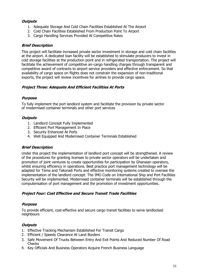# **Outputs**

- 1. Adequate Storage And Cold Chain Facilities Established At The Airport
- 2. Cold Chain Facilities Established From Production Point To Airport
- 3. Cargo Handling Services Provided At Competitive Rates

# **Brief Description**

This project will facilitate increased private sector investment in storage and cold chain facilities at the airport. A dedicated loan facility will be established to stimulate producers to invest in cold storage facilities at the production point and in refrigerated transportation. The project will facilitate the achievement of competitive air-cargo handling charges through transparent and competitive award of contracts to airport service providers and effective enforcement. So that availability of cargo space on flights does not constrain the expansion of non-traditional exports, the project will review incentives for airlines to provide cargo space.

# **Project Three: Adequate And Efficient Facilities At Ports**

## **Purpose**

To fully implement the port landlord system and facilitate the provision by private sector of modernised container terminals and other port services

## **Outputs**

- 1. Landlord Concept Fully Implemented
- 2. Efficient Port Management In Place
- 3. Security Enhanced At Ports
- 4. Well Equipped And Modernised Container Terminals Established

## **Brief Description**

Under this project the implementation of landlord port concept will be strengthened. A review of the procedures for granting licenses to private sector operators will be undertaken and promotion of joint ventures to create opportunities for participation by Ghanaian operators, whilst ensuring efficiency in operations. Best practice port management technology will be adapted for Tema and Takoradi Ports and effective monitoring systems created to oversee the implementation of the landlord concept. The IMO Code on International Ship and Port Facilities Security will be implemented. Modernised container terminals will be established through the computerisation of port management and the promotion of investment opportunities.

## **Project Four: Cost Effective and Secure Transit Trade Facilities**

## **Purpose**

To provide efficient, cost-effective and secure cargo transit facilities to serve landlocked neighbours

- 1. Effective Tracking Mechanism Established For Transit Cargo
- 2. Efficient / Speedy Clearance At Land Borders
- 3. Safe Movement Of Trucks Between Entry And Exit Points And Reduced Number Of Road **Checks**
- 4. Key Officials And Business Operators Acquire French Business Language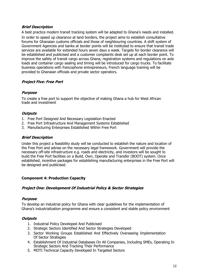<span id="page-11-0"></span>A best practice modern transit tracking system will be adapted to Ghana's needs and installed. In order to speed up clearance at land borders, the project aims to establish consultative forums for Ghanaian customs officials and those of neighbouring countries. A shift system of Government Agencies and banks at border points will be instituted to ensure that transit trade services are available for extended hours seven days a week. Targets for border clearance will be established and publicised and a customer complaints desk set up at each border point. To improve the safety of transit cargo across Ghana, registration systems and regulations on axle loads and container cargo sealing and timing will be introduced for cargo trucks. To facilitate business operations with francophone entrepreneurs, French language training will be provided to Ghanaian officials and private sector operators.

# **Project Five: Free Port**

# **Purpose**

To create a free port to support the objective of making Ghana a hub for West African trade and investment

# **Outputs**

- 1. Free Port Designed And Necessary Legislation Enacted
- 2. Free Port Infrastructure And Management Systems Established
- 3. Manufacturing Enterprises Established Within Free Port

# **Brief Description**

Under this project a feasibility study will be conducted to establish the nature and location of the Free Port and advise on the necessary legal framework. Government will provide the necessary off-site infrastructure e.g. roads and electricity, and investors will be sought to build the Free Port facilities on a Build, Own, Operate and Transfer (BOOT) system. Once established, incentive packages for establishing manufacturing enterprises in the Free Port will be designed and publicised.

# **Component 4: Production Capacity**

## **Project One: Development Of Industrial Policy & Sector Strategies**

## **Purpose**

To develop an industrial policy for Ghana with clear guidelines for the implementation of Ghana's industrialization programme and ensure a consistent and stable policy environment

- 1. Industrial Policy Developed And Publicised
- 2. Strategic Sectors Identified And Sector Strategies Developed
- 3. Sector Working Groups Established And Effectively Overseeing Implementation Of Sector Strategies
- 4. Establishment Of Industrial Databases On All Companies, Including SMEs, Operating In Strategic Sectors And Tracking Their Performance
- 5. MOTI Technical Capacity Developed In Targeted Sectors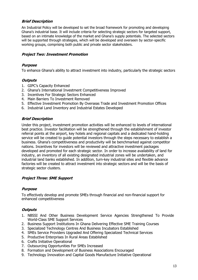An Industrial Policy will be developed to set the broad framework for promoting and developing Ghana's industrial base. It will include criteria for selecting strategic sectors for targeted support, based on an intimate knowledge of the market and Ghana's supply potentials. The selected sectors will be supported through strategies, which will be developed and overseen by sector-specific working groups, comprising both public and private sector stakeholders.

## **Project Two: Investment Promotion**

## **Purpose**

To enhance Ghana's ability to attract investment into industry, particularly the strategic sectors

## **Outputs**

- 1. GIPC's Capacity Enhanced
- 2. Ghana's International Investment Competitiveness Improved
- 3. Incentives For Strategic Sectors Enhanced
- 4. Main Barriers To Investment Removed
- 5. Effective Investment Promotion By Overseas Trade and Investment Promotion Offices
- 6. Industrial Land Inventory and Industrial Estates Developed

## **Brief Description**

Under this project, investment promotion activities will be enhanced to levels of international best practice. Investor facilitation will be strengthened through the establishment of investor referral points at the airport, key hotels and regional capitals and a dedicated hand-holding service will be created to guide potential investors through the steps necessary to establish a business. Ghana's competitiveness and productivity will be benchmarked against competitor nations. Incentives for investors will be reviewed and attractive investment packages developed and promoted for each strategic sector. In order to increase availability of land for industry, an inventory of all existing designated industrial zones will be undertaken, and industrial land banks established. In addition, turn-key industrial sites and flexible advance factories will be created to attract investment into strategic sectors and will be the basis of strategic sector clusters.

## **Project Three: SME Support**

## **Purpose**

To effectively develop and promote SMEs through financial and non-financial support for enhanced competitiveness

- 1. NBSSI And Other Business Development Service Agencies Strengthened To Provide World-Class SME Support Services
- 2. Business Support Institutions In Ghana Delivering Effective SME Training Courses
- 3. Specialized Technology Centres And Business Incubators Established
- 4. SMEs Service Providers Upgraded And Offering Specialized Technical Services
- 5. Productive Enterprises In Rural Areas Established
- 6. Crafts Initiative Operational
- 7. Outsourcing Opportunities For SMEs Increased
- 8. Formation and Development of Business Associations Encouraged
- 9. Technology Innovation and Capital Goods Manufacture Initiative Operational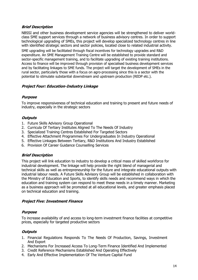NBSSI and other business development service agencies will be strengthened to deliver worldclass SME support services through a network of business advisory centres. In order to support technological upgrading of SMEs, this project will develop specialized technology centres in line with identified strategic sectors and sector policies, located close to related industrial activity. SME upgrading will be facilitated through fiscal incentives for technology upgrades and R&D expenditure. An SME Management Training Centre will be established to provide standard and sector-specific management training, and to facilitate upgrading of existing training institutions. Access to finance will be improved through provision of specialised business development services and by facilitating linkages to SME funds. The project will target the development of SMEs in the rural sector, particularly those with a focus on agro-processing since this is a sector with the potential to stimulate substantial downstream and upstream production (REDP etc.).

## **Project Four: Education-Industry Linkage**

## **Purpose**

To improve responsiveness of technical education and training to present and future needs of industry, especially in the strategic sectors

## **Outputs**

- 1. Future Skills Advisory Group Operational
- 2. Curricula Of Tertiary Institutes Aligned To The Needs Of Industry
- 3. Specialized Training Centres Established For Targeted Sectors
- 4. Effective Attachment Programmes For Undergraduates In Industry Operational
- 5. Effective Linkages Between Tertiary, R&D Institutions And Industry Established
- 6. Provision Of Career Guidance Counselling Services

## **Brief Description**

This project will link education to industry to develop a critical mass of skilled workforce for industrial development. The linkage will help provide the right blend of managerial and technical skills as well as entrepreneurship for the future and integrate educational outputs with industrial labour needs. A Future Skills Advisory Group will be established in collaboration with the Ministry of Education and Sports, to identify skills needs and recommend ways in which the education and training system can respond to meet these needs in a timely manner. Marketing as a business approach will be promoted at all educational levels, and greater emphasis placed on technical education and training.

## **Project Five: Investment Finance**

## **Purpose**

To increase availability of and access to long-term investment finance facilities at competitive prices, especially for targeted productive sectors

- 1. Financial Regulations Responds To The Needs Of Production, Savings, Investment And Export
- 2. Mechanisms For Increased Access To Long-Term Finance Identified And Implemented
- 3. Credit Reference Mechanisms Established And Operating Effectively
- 4. Early And Effective Implementation Of The Venture Capital Fund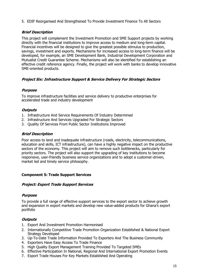<span id="page-14-0"></span>5. EDIF Reorganised And Strengthened To Provide Investment Finance To All Sectors

# **Brief Description**

This project will complement the Investment Promotion and SME Support projects by working directly with the financial institutions to improve access to medium and long-term capital. Financial incentives will be designed to give the greatest possible stimulus to production, savings, investment and exports. Mechanisms for increased access to long-term finance will be developed, for example, an SME Development Bank, Industrial Development Corporation and Mutualist Credit Guarantee Scheme. Mechanisms will also be identified for establishing an effective credit reference agency. Finally, the project will work with banks to develop innovative SME-oriented products.

# **Project Six: Infrastructure Support & Service Delivery For Strategic Sectors**

# **Purpose**

To improve infrastructure facilities and service delivery to productive enterprises for accelerated trade and industry development

# **Outputs**

- 1. Infrastructure And Service Requirements Of Industry Determined
- 2. Infrastructure And Services Upgraded For Strategic Sectors
- 3. Quality Of Services From Public Sector Institutions Improved

# **Brief Description**

Poor access to land and inadequate infrastructure (roads, electricity, telecommunications, education and skills, ICT infrastructure), can have a highly negative impact on the productive sectors of the economy. This project will aim to remove such bottlenecks, particularly for priority sectors. The project will also support the upgrading of key institutions to become responsive, user-friendly business service organizations and to adopt a customer-driven, market led and timely service philosophy.

# **Component 5: Trade Support Services**

# **Project: Export Trade Support Services**

# **Purpose**

To provide a full range of effective support services to the export sector to achieve growth and expansion in export markets and develop new value-added products for Ghana's export portfolio

- 1. Export And Investment Promotion Harmonised
- 2. Internationally Competitive Trade Promotion Organization Established & National Export Strategy Developed
- 3. Up-To-Date Trade Information Provided To Exporters And The Business Community
- 4. Exporters Have Easy Access To Trade Finance
- 5. High Quality Export Management Training Provided To Targeted SMEs
- 6. Effective Participation In National, Regional And International Export Promotion Events
- 7. Export Trade Houses For Key Markets Established And Operating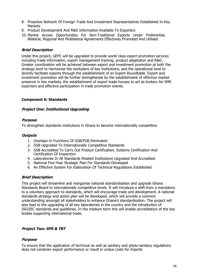- <span id="page-15-0"></span>8. Proactive Network Of Foreign Trade And Investment Representatives Established In Key **Markets**
- 9. Product Development And R&D Information Available To Exporters
- 10. Market Access Opportunities For Non-Traditional Exports Under Preferential, Bilateral, Regional And Multilateral Agreements Effectively Promoted And Utilised

Under this project, GEPC will be upgraded to provide world class export promotion services including trade information, export management training, product adaptation and R&D. Greater coordination will be achieved between export and investment promotion at both the strategy level to harmonise the workplans of key institutions, and the operational level to directly facilitate exports through the establishment of an Export Roundtable. Export and investment promotion will be further strengthened by the establishment of effective market presence in key markets, the establishment of export trade houses to act as brokers for SME exporters and effective participation in trade promotion events.

## **Component 6: Standards**

## **Project One: Institutional Upgrading**

## **Purpose**

To strengthen standards institutions in Ghana to become internationally competitive

## **Outputs**

- 1. Overlaps In Functions Of GSB/FDB Eliminated
- 2. GSB Upgraded To Internationally Competitive Standards
- 3. GSB Accredited To Carry Out Product Certification, Systems Certification And Certification Of Inspectors
- 4. Laboratories In All Standards Related Institutions Upgraded And Accredited
- 5. National Five-Year Strategic Plan For Standards Developed
- 6. An Effective System For Elaboration Of Technical Regulations Established

## **Brief Description**

This project will streamline and reorganise national standardisation and upgrade Ghana Standards Board to internationally competitive levels. It will introduce a shift from a mandatory to a voluntary approach to standards, which will encourage trade and development. A national standards strategy and action plan will be developed, which will provide a common understanding amongst all stakeholders to enhance Ghana's standardisation. The project will also lead to the upgrading of all key laboratories in the country and the introduction of ISO/IEC standards and guidelines. In the medium term this will enable accreditation of the key bodies supporting international trade.

## **Project Two: SPS & TBT**

## **Purpose**

To ensure that the application of technical as well as sanitary and phyto-sanitary regulations does not constrain export performance or result in undue costs for imports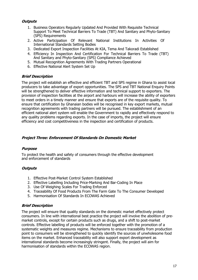# **Outputs**

- 1. Business Operators Regularly Updated And Provided With Requisite Technical Support To Meet Technical Barriers To Trade (TBT) And Sanitary and Phyto-Sanitary (SPS) Requirements
- 2. Active Participation Of Relevant National Institutions In Activities Of International Standards Setting Bodies
- 3. Dedicated Export Inspection Facilities At KIA, Tema And Takoradi Established
- 4. Efficiency In Inspection And Certification For Technical Barriers To Trade (TBT) And Sanitary and Phyto-Sanitary (SPS) Compliance Achieved
- 5. Mutual Recognition Agreements With Trading Partners Operational
- 6. Effective National Alert System Set Up

## **Brief Description**

The project will establish an effective and efficient TBT and SPS regime in Ghana to assist local producers to take advantage of export opportunities. The SPS and TBT National Enquiry Points will be strengthened to deliver effective information and technical support to exporters. The provision of inspection facilities at the airport and harbours will increase the ability of exporters to meet orders in a timely manner and ensure that exports are of the requisite quality. To ensure that certification by Ghanaian bodies will be recognised in key export markets, mutual recognition agreements with trading partners will be pursued. The establishment of an efficient national alert system will enable the Government to rapidly and effectively respond to any quality problems regarding exports. In the case of imports, the project will ensure efficiency and cost competitiveness in the inspection and certification of products.

## **Project Three: Enforcement Of Standards On Domestic Market**

## **Purpose**

To protect the health and safety of consumers through the effective development and enforcement of standards

## **Outputs**

- 1. Effective Post-Market Control System Established
- 2. Effective Labelling Including Price-Marking And Bar-Coding In Place
- 3. Use Of Weighing Scales For Trading Enforced
- 4. Traceability Of Food Products From The Farm Gate To The Consumer Developed
- 5. Harmonisation Of Standards In ECOWAS Achieved

## **Brief Description**

The project will ensure that quality standards on the domestic market effectively protect consumers. In line with international best practice the project will involve the abolition of premarket controls, except for certain products such as drugs, and a shift to post-market controls. Effective labelling of products will be enforced together with the promotion of a systematic weights and measures regime. Mechanisms to ensure traceability from production point to consumers will be strengthened to quickly identify the sources of unwholesome food items on the market. Enhanced traceability will also support export development as international standards become increasingly stringent. Finally, the project will aim for harmonisation of standards within the ECOWAS region.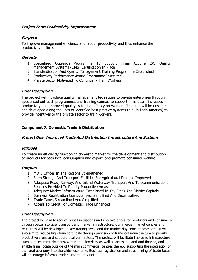## <span id="page-17-0"></span>**Project Four: Productivity Improvement**

# **Purpose**

To improve management efficiency and labour productivity and thus enhance the productivity of firms

# **Outputs**

- 1. Specialised Outreach Programme To Support Firms Acquire ISO Quality Management Systems (QMS) Certification In Place
- 2. Standardisation And Quality Management Training Programme Established
- 3. Productivity Performance Award Programme Instituted
- 4. Private Sector Motivated To Continually Train Workers

# **Brief Description**

The project will introduce quality management techniques to private enterprises through specialised outreach programmes and training courses to support firms attain increased productivity and improved quality. A National Policy on Workers' Training, will be designed and developed along the lines of identified best practice systems (e.g. in Latin America) to provide incentives to the private sector to train workers.

# **Component 7: Domestic Trade & Distribution**

## **Project One: Improved Trade And Distribution Infrastructure And Systems**

## **Purpose**

To create an efficiently functioning domestic market for the development and distribution of products for both local consumption and export, and promote consumer welfare

## **Outputs**

- 1. MOTI Offices In The Regions Strengthened
- 2. Farm Storage And Transport Facilities For Agricultural Produce Improved
- 3. Adequate Road, Railway, And Inland Waterway Transport And Telecommunications Services Provided To Priority Productive Areas
- 4. Adequate Market Infrastructure Established In Key Cities And District Capitals
- 5. Business Registration Computerised, Simplified And Decentralised
- 6. Trade Taxes Streamlined And Simplified
- 7. Access To Credit For Domestic Trade Enhanced

## **Brief Description**

The project will aim to reduce price fluctuations and improve prices for producers and consumers through better storage, transport and market infrastructure. Commercial market centres and rest-stops will be developed in key trading areas and the market day concept promoted. It will also aim to reduce high transport costs through provision of transport infrastructure to priority productive areas and support local contractors. The project will facilitate improved infrastructure such as telecommunications, water and electricity as well as access to land and finance, and enable firms locate outside of the main commercial centres thereby supporting the integration of the rural economy into the wider economy. Business registration and streamlining of trade taxes will encourage informal traders into the tax net.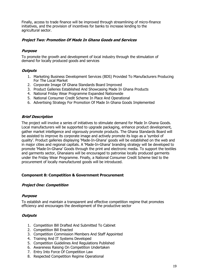<span id="page-18-0"></span>Finally, access to trade finance will be improved through streamlining of micro-finance initiatives, and the provision of incentives for banks to increase lending to the agricultural sector.

## **Project Two: Promotion Of Made In Ghana Goods and Services**

## **Purpose**

To promote the growth and development of local industry through the stimulation of demand for locally produced goods and services

## **Outputs**

- 1. Marketing Business Development Services (BDS) Provided To Manufacturers Producing For The Local Market
- 2. Corporate Image Of Ghana Standards Board Improved
- 3. Product Galleries Established And Showcasing Made In Ghana Products
- 4. National Friday Wear Programme Expanded Nationwide
- 5. National Consumer Credit Scheme In Place And Operational
- 6. Advertising Strategy For Promotion Of Made In Ghana Goods Implemented

## **Brief Description**

The project will involve a series of initiatives to stimulate demand for Made In Ghana Goods. Local manufacturers will be supported to upgrade packaging, enhance product development, gather market intelligence and vigorously promote products. The Ghana Standards Board will be assisted to improve its corporate image and actively promote its logo as a 'symbol of quality'. Product galleries displaying 'Made-In-Ghana' goods will be established on the web and in major cities and regional capitals. A 'Made-In-Ghana' branding strategy will be developed to promote 'Made-In-Ghana' Goods through the print and electronic media. To support the textiles and garments sector, Ghanaians will be encouraged to patronise locally produced garments under the Friday Wear Programme. Finally, a National Consumer Credit Scheme tied to the procurement of locally manufactured goods will be introduced.

## **Component 8: Competition & Government Procurement**

## **Project One: Competition**

## **Purpose**

To establish and maintain a transparent and effective competition regime that promotes efficiency and encourages the development of the productive sector

- 1. Competition Bill Drafted And Submitted To Cabinet
- 2. Competition Bill Enacted
- 3. Competition Commission Members And Staff Appointed
- 4. Training And IT Systems Developed
- 5. Competition Guidelines And Regulations Published
- 6. Awareness Raising On Competition Undertaken
- 7. Entry Into Force Of Competition Law
- 8. Respected Competition Regime Operational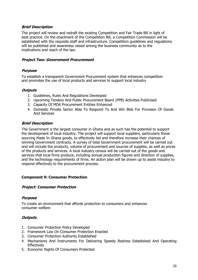<span id="page-19-0"></span>The project will review and redraft the existing Competition and Fair Trade Bill in light of best practice. On the enactment of the Competition Bill, a Competition Commission will be established with the requisite staff and infrastructure. Competition guidelines and regulations will be published and awareness raised among the business community as to the implications and reach of the law.

## **Project Two: Government Procurement**

## **Purpose**

To establish a transparent Government Procurement system that enhances competition and promotes the use of local products and services to support local industry

## **Outputs**

- 1. Guidelines, Rules And Regulations Developed
- 2. Upcoming Tenders And Public Procurement Board (PPB) Activities Publicised
- 3. Capacity Of MDA Procurement Entities Enhanced
- 4. Domestic Private Sector Able To Respond To And Win Bids For Provision Of Goods And Services

## **Brief Description**

The Government is the largest consumer in Ghana and as such has the potential to support the development of local industry. The project will support local suppliers, particularly those sourcing Made In Ghana goods, to effectively bid and therefore increase their chances of winning Government contracts. A survey of total Government procurement will be carried out and will include the products, volume of procurement and sources of supplies, as well as prices of the products and services. A local industry census will be carried out of the goods and services that local firms produce, including annual production figures and direction of supplies, and the technology requirements of firms. An action plan will be drawn up to assist industry to respond effectively to the procurement process.

## **Component 9: Consumer Protection**

## **Project: Consumer Protection**

## **Purpose**

To create an environment that affords protection to consumers and enhances consumer welfare

- 1. Consumer Protection Policy Developed
- 2. Framework Law On Consumer Protection Enacted
- 3. Consumer Protection Authority Established
- 4. Mechanisms And Instruments For Delivering Speedy Redress Established And Operating **Effectively**
- 5. Economic Rights Of Consumers Protected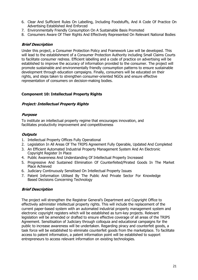- <span id="page-20-0"></span>6. Clear And Sufficient Rules On Labelling, Including Foodstuffs, And A Code Of Practice On Advertising Established And Enforced
- 7. Environmentally Friendly Consumption On A Sustainable Basis Promoted
- 8. Consumers Aware Of Their Rights And Effectively Represented On Relevant National Bodies

Under this project, a Consumer Protection Policy and Framework Law will be developed. This will lead to the establishment of a Consumer Protection Authority including Small Claims Courts to facilitate consumer redress. Efficient labelling and a code of practice on advertising will be established to improve the accuracy of information provided to the consumer. The project will promote sustainable and environmentally friendly consumption patterns to ensure sustainable development through education campaigns. Finally, consumers will be educated on their rights, and steps taken to strengthen consumer-oriented NGOs and ensure effective representation of consumers on decision-making bodies.

# **Component 10: Intellectual Property Rights**

## **Project: Intellectual Property Rights**

## **Purpose**

To institute an intellectual property regime that encourages innovation, and facilitates productivity improvement and competitiveness

## **Outputs**

- 1. Intellectual Property Offices Fully Operational
- 2. Legislation In All Areas Of The TRIPS Agreement Fully Operable, Updated And Completed
- 3. An Efficient Automated Industrial Property Management System And An Electronic Copyright Register In Place
- 4. Public Awareness And Understanding Of Intellectual Property Increased
- 5. Progressive And Sustained Elimination Of Counterfeited/Pirated Goods In The Market Place Achieved
- 6. Judiciary Continuously Sensitised On Intellectual Property Issues
- 7. Patent Information Utilised By The Public And Private Sector For Knowledge Based Decisions Concerning Technology

## **Brief Description**

The project will strengthen the Registrar General's Department and Copyright Office to effectively administer intellectual property rights. This will include the replacement of the current paper-based system with an automated industrial property management system and electronic copyright registers which will be established as turn-key projects. Relevant legislation will be amended or drafted to ensure effective coverage of all areas of the TRIPS Agreement. Sensitisation of Judiciary through colloquia and educational campaigns for the public to increase awareness will be undertaken. Regarding piracy and counterfeit goods, a task force will be established to eliminate counterfeit goods from the marketplace. To facilitate access to patent information, a patent information point will be established to support entrepreneurs to access relevant information on existing technologies.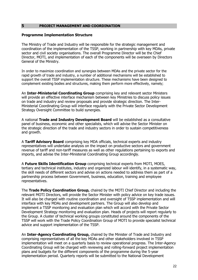## <span id="page-21-0"></span>**5 PROJECT MANAGEMENT AND COORDINATION**

## **Programme Implementation Structure**

The Ministry of Trade and Industry will be responsible for the strategic management and coordination of the implementation of the TSSP, working in partnership with key MDAs, private sector and civil society organisations. The overall Programme Director will be the Chief Director, MOTI, and implementation of each of the components will be overseen by Directors General of the Ministry.

In order to maximize coordination and synergies between MDAs and the private sector for the rapid growth of trade and industry, a number of additional mechanisms will be established to support the overall TSSP implementation structure. These mechanisms have been designed to complement existing bodies and structures, making them perform more effectively, namely;

An **Inter-Ministerial Coordinating Group** comprising key and relevant sector Ministers will provide an effective interface mechanism between key Ministries to discuss policy issues on trade and industry and review proposals and provide strategic direction. The Inter-Ministerial Coordinating Group will interface regularly with the Private Sector Development Strategy Oversight Committee to build synergies.

A national **Trade and Industry Development Board** will be established as a consultative panel of business, economic and other specialists, which will advise the Sector Minister on the strategic direction of the trade and industry sectors in order to sustain competitiveness and growth.

A **Tariff Advisory Board** comprising key MDA officials, technical experts and industry representatives will undertake analysis on the impact on productive sectors and government revenue of tariff and non-tariff measures as well as other regulations pertaining to exports and imports, and advise the Inter-Ministerial Coordinating Group accordingly.

A **Future Skills Identification Group** comprising technical experts from MOTI, MOES, tertiary and technical institutes, industry and organized labour will identify, in a systematic way, the skill needs of different sectors and advise on actions needed to address them as part of a partnership process between Government, business, education, training and employee representatives.

The **Trade Policy Coordination Group,** chaired by the MOTI Chief Director and including the relevant MOTI Directors, will provide the Sector Minister with policy advice on key trade issues. It will also be charged with routine coordination and oversight of TSSP implementation and will interface with key MDAs and development partners. The Group will also develop and implement a TSSP monitoring and evaluation plan which will accord with the Private Sector Development Strategy monitoring and evaluation plan. Heads of projects will report regularly to the Group. A cluster of technical working groups constituted around the components of the TSSP will work with the Trade Policy Coordination Group of MOTI to provide specialist technical advice and support implementation of the TSSP.

An **Inter-Agency Coordinating Group,** chaired by the Minister of Trade and Industry and comprising representatives of all the key MDAs and other stakeholders involved in TSSP implementation will meet on a quarterly basis to review operational progress. The Inter-Agency Coordinating Group will be charged with reviewing and rolling-forward project implementation plans and budgets for the different components of the programme during the 5-year implementation period. Quarterly reports will be submitted to the National Development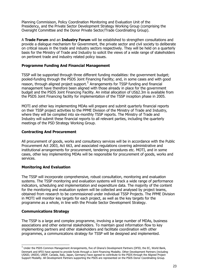<span id="page-22-0"></span>Planning Commisison, Policy Coordination Monitoring and Evaluation Unit of the Presidency, and the Private Sector Development Strategy Working Group (comprising the Oversight Committee and the Donor Private Sector/Trade Coordinating Group).

A **Trade Forum** and an **Industry Forum** will be established to strengthen consultations and provide a dialogue mechanism for Government, the private sector and civil society to deliberate on critical issues in the trade and industry sectors respectively. They will be held on a quarterly basis for the Ministry of Trade and Industry to solicit the views of a wide range of stakeholders on pertinent trade and industry related policy issues.

## **Programme Funding And Financial Management**

TSSP will be supported through three different funding modalities: the government budget; pooled-funding through the PSDS Joint Financing Facility; and, in some cases and with good  $r$ eason, through aligned project support. $1$  Arrangements for TSSP funding and financial management have therefore been aligned with those already in place for the government budget and the PSDS Joint Financing Facility. An initial allocation of US\$2.3m is available from the PSDS Joint Financing facility for implementation of the TSSP inception phase in 2005.

MOTI and other key implementing MDAs will prepare and submit quarterly financial reports on their TSSP project activities to the PPME Division of the Ministry of Trade and Industry, where they will be compiled into six-monthly TSSP reports. The Ministry of Trade and Industry will submit these financial reports to all relevant parties, including the quarterly meetings of the PSD Strategy Working Group.

## **Contracting And Procurement**

All procurement of goods, works and consultancy services will be in accordance with the Public Procurement Act 2003, Act 663, and associated regulations covering administrative and institutional arrangements for procurement, tendering procedures etc. MOTI, and in some cases, other key implementing MDAs will be responsible for procurement of goods, works and services.

## **Monitoring And Evaluation**

The TSSP will incorporate comprehensive, robust consultation, monitoring and evaluation systems. The TSSP monitoring and evaluation systems will track a wide range of performance indicators, scheduling and implementation and expenditure data. The majority of the content for the monitoring and evaluation system will be collected and analysed by project teams, obtained from research to be commissioned under individual TSSP Projects. The PPME Division in MOTI will monitor key targets for each project, as well as the key targets for the programme as a whole, in line with the Private Sector Development Strategy.

## **Communications Strategy**

The TSSP is a large and complex programme, involving a large number of MDAs, business associations and other external stakeholders. To maintain good information flow to key implementing partners and other stakeholders and facilitate coordination with other programmes, a communications strategy for TSSP will be designed and implemented.

 $^1$  Under the PSDS Common Management Arrangements, five of Ghana's Development Partners (DFID, the EC, World Bank, Denmark and AFD) have agreed to provide funds through a Joint Financing Modality. Other Development Partners (including USAID, UNIDO, UNDP, Canada, Italy, Japan, Germany) have agreed to contribute to the PSDS through the Aligned Project Support Modality. All Development Partners supporting the PSDS are represented on the PSDS Donor Coordinating Group.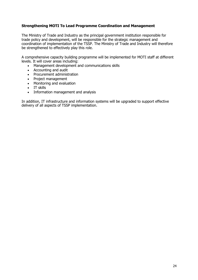# <span id="page-23-0"></span>**Strengthening MOTI To Lead Programme Coordination and Management**

The Ministry of Trade and Industry as the principal government institution responsible for trade policy and development, will be responsible for the strategic management and coordination of implementation of the TSSP. The Ministry of Trade and Industry will therefore be strengthened to effectively play this role.

A comprehensive capacity building programme will be implemented for MOTI staff at different levels. It will cover areas including:

- Management development and communications skills
- Accounting and audit
- Procurement administration
- Project management
- Monitoring and evaluation
- IT skills
- Information management and analysis

In addition, IT infrastructure and information systems will be upgraded to support effective delivery of all aspects of TSSP implementation.